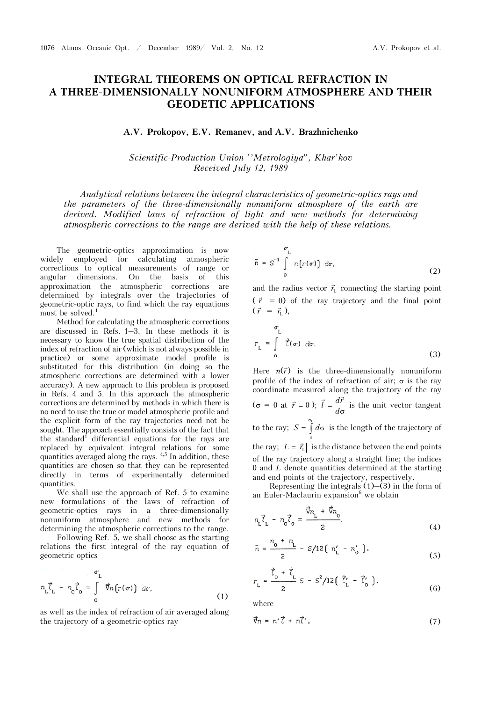## **INTEGRAL THEOREMS ON OPTICAL REFRACTION IN A THREE-DIMENSIONALLY NONUNIFORM ATMOSPHERE AND THEIR GEODETIC APPLICATIONS**

## **A.V. Prokopov, E.V. Remanev, and A.V. Brazhnichenko**

*Scientific-Production Union ''Metrologiya", Khar'kov Received July 12, 1989* 

*Analytical relations between the integral characteristics of geometric-optics rays and the parameters of the three-dimensionally nonuniform atmosphere of the earth are derived. Modified laws of refraction of light and new methods for determining atmospheric corrections to the range are derived with the help of these relations.*

The geometric-optics approximation is now widely employed for calculating atmospheric corrections to optical measurements of range or angular dimensions. On the basis of this approximation the atmospheric corrections are determined by integrals over the trajectories of geometric-optic rays, to find which the ray equations must be solved.<sup>1</sup>

Method for calculating the atmospheric corrections are discussed in Refs. 1–3. In these methods it is necessary to know the true spatial distribution of the index of refraction of air (which is not always possible in practice) or some approximate model profile is substituted for this distribution (in doing so the atmospheric corrections are determined with a lower accuracy). A new approach to this problem is proposed in Refs. 4 and 5. In this approach the atmospheric corrections are determined by methods in which there is no need to use the true or model atmospheric profile and the explicit form of the ray trajectories need not be sought. The approach essentially consists of the fact that the standard<sup>1</sup> differential equations for the rays are replaced by equivalent integral relations for some quantities averaged along the rays. <sup>4,5</sup> In addition, these quantities are chosen so that they can be represented directly in terms of experimentally determined quantities.

We shall use the approach of Ref. 5 to examine new formulations of the laws of refraction of geometric-optics rays in a three-dimensionally nonuniform atmosphere and new methods for determining the atmospheric corrections to the range.

Following Ref. 5, we shall choose as the starting relations the first integral of the ray equation of geometric optics

$$
n_{\mathcal{L}}\vec{\zeta}_{\mathcal{L}} - n_{0}\vec{\zeta}_{0} = \int_{0}^{\sigma_{\mathcal{L}}} \vec{\nabla} n(r(\sigma)) d\sigma,
$$
\n(1)

as well as the index of refraction of air averaged along the trajectory of a geometric-optics ray

$$
\bar{n} = S^{-1} \int_{0}^{\sigma} n[r(\sigma)] d\sigma,
$$
 (2)

and the radius vector  $\vec{r}_{L}$  connecting the starting point  $(\vec{r} = 0)$  of the ray trajectory and the final point  $(\vec{r} = \vec{r}_{L}),$ 

$$
r_{\mathcal{L}} = \int_{0}^{\sigma_{\mathcal{L}}} \vec{\zeta}(\sigma) \, d\sigma. \tag{3}
$$

Here  $n(\vec{r})$  is the three-dimensionally nonuniform profile of the index of refraction of air;  $\sigma$  is the ray coordinate measured along the trajectory of the ray ( $\sigma = 0$  at  $\vec{r} = 0$ );  $\vec{l} = \frac{d\vec{r}}{d\sigma}$  is the unit vector tangent to the ray;  $\sigma$  $S = \int_{\sigma}^{\sigma} d\sigma$  is the length of the trajectory of the ray;  $L = |\vec{r}_L|$  is the distance between the end points of the ray trajectory along a straight line; the indices

0 and *L* denote quantities determined at the starting and end points of the trajectory, respectively.

Representing the integrals  $(1)$ – $(3)$  in the form of an Euler-Maclaurin expansion<sup>6</sup> we obtain

$$
m_{\rm L} \vec{\ell}_{\rm L} - m_{\rm o} \vec{\ell}_{\rm o} = \frac{\vec{\nabla} n_{\rm L} + \vec{\nabla} n_{\rm o}}{2},\tag{4}
$$

$$
\bar{n} = \frac{n_0 + n_{\rm L}}{2} - S/12 [n_{\rm L}' - n_0'] \,, \tag{5}
$$

$$
r_{\rm L} = \frac{\vec{\zeta}_0 + \vec{\zeta}_{\rm L}}{2} \, S - S^2 / 12 \left( \vec{\zeta}_{\rm L}' - \vec{\zeta}_{\rm 0}' \right), \tag{6}
$$

where

$$
\vec{\nabla}_n = n'\vec{\ell} + n\vec{\ell}',\tag{7}
$$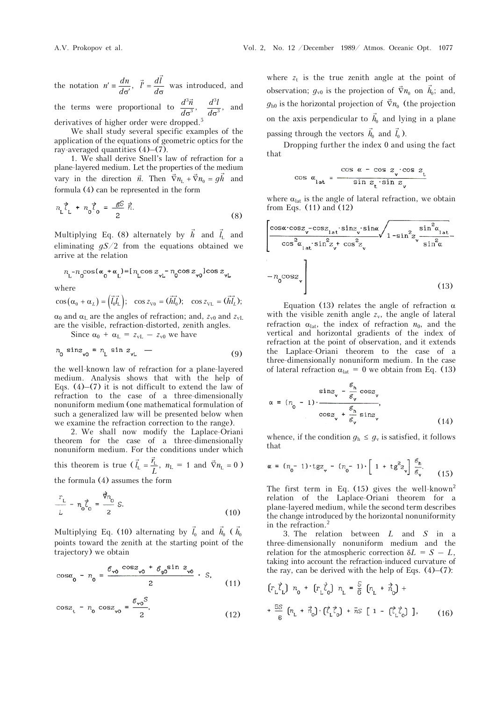the notation  $n' = \frac{dn}{d\sigma'}$ ,  $\vec{l}' = \frac{d\vec{l}}{d\sigma}$  was introduced, and the terms were proportional to  $\frac{a}{d\sigma}$  $rac{d^3\vec{n}}{d\sigma^3}$ ,  $rac{d^3}{d\sigma^3}$  $rac{d^3l}{d\sigma^3}$ , and

derivatives of higher order were dropped.<sup>5</sup>

We shall study several specific examples of the application of the equations of geometric optics for the ray-averaged quantities  $(4)$ – $(7)$ .

1. We shall derive Snell's law of refraction for a plane-layered medium. Let the properties of the medium prane-rayered medium. Let the properties of the medium<br>vary in the direction  $\vec{n}$ . Then  $\vec{\nabla} n_L + \vec{\nabla} n_0 = g\vec{h}$  and formula (4) can be represented in the form

$$
n_{\mathsf{L}}\vec{\mathsf{L}}_{\mathsf{L}} + n_{\mathsf{O}}\vec{\mathsf{C}}_{\mathsf{O}} = \frac{\mathscr{E}^{\mathsf{S}}}{2}\vec{\mathsf{R}}.\tag{8}
$$

Multiplying Eq. (8) alternately by  $\vec{h}$  and  $\vec{l}_L$  and eliminating *gS*/2 from the equations obtained we arrive at the relation

$$
n_{\rm L} - n_{\rm g} \cos(\alpha_{\rm g} + \alpha_{\rm L}) = [n_{\rm L} \cos z_{\rm vt} - n_{\rm g} \cos z_{\rm yo}] \cos z_{\rm vt}
$$

where

$$
\cos(\alpha_0 + \alpha_L) = (\vec{l}_0 \vec{l}_L); \quad \cos z_{\text{V0}} = (\vec{hl}_0); \quad \cos z_{\text{VL}} = (\vec{hl}_L);
$$

 $\alpha_0$  and  $\alpha_L$  are the angles of refraction; and,  $z_{\rm v0}$  and  $z_{\rm vL}$ are the visible, refraction-distorted, zenith angles.

Since  $\alpha_0$  +  $\alpha_L$  =  $z_{vL}$  –  $z_{v0}$  we have

$$
n_0 \sin z_{\nu 0} = n_L \sin z_{\nu L} \quad (9)
$$

the well-known law of refraction for a plane-layered medium. Analysis shows that with the help of Eqs.  $(4)$ – $(7)$  it is not difficult to extend the law of refraction to the case of a three-dimensionally nonuniform medium (one mathematical formulation of such a generalized law will be presented below when we examine the refraction correction to the range).

2. We shall now modify the Laplace-Oriani theorem for the case of a three-dimensionally nonuniform medium. For the conditions under which

this theorem is true  $(\vec{l}_L = \frac{\vec{r}_L}{L}, n_L = 1 \text{ and } \vec{\nabla} n_L = 0)$ the formula (4) assumes the form

$$
\frac{r_{\rm L}}{L} - n_0 \vec{\zeta}_0 = \frac{\vec{\nabla} n_0}{2} \,\mathcal{S}.\tag{10}
$$

Multiplying Eq. (10) alternating by  $\overline{a}$  $l_0$  and  $\overline{a}$ *h*0 (  $\overline{a}$  $h_0$ points toward the zenith at the starting point of the trajectory) we obtain

$$
\cos\alpha_0 - n_0 = \frac{\mathcal{E}_{\mathbf{v0}} \cos z_{\mathbf{v0}} + \mathcal{E}_{\mathbf{g0}} \sin z_{\mathbf{v0}}}{2} \cdot S,
$$
\n(11)

$$
\cos z_{t} - n_{0} \cos z_{\nu 0} = \frac{g_{\nu 0} S}{2}, \qquad (12)
$$

where  $z_t$  is the true zenith angle at the point of observation;  $g_{v0}$  is the projection of  $\vec{\nabla}$  $n_0$  on  $\frac{1}{1}$  $h_0$ ; and,  $g_{h0}$  is the horizontal projection of  $\vec{\nabla}$  $n_0$  (the projection on the axis perpendicular to  $\overline{a}$  $h_0$  and lying in a plane passing through the vectors  $\overline{a}$  $h_0$  and  $\overline{a}$  $l_0$ ).

Dropping further the index 0 and using the fact that

$$
\cos \alpha_{\rm lat} = \frac{\cos \alpha - \cos z_{\rm v} \cos z_{\rm t}}{\sin z_{\rm t} \cdot \sin z_{\rm v}}
$$

 $\mathbf c$ 

where  $\alpha_{\text{lat}}$  is the angle of lateral refraction, we obtain from Eqs. (11) and (12)

$$
\left| \frac{\cos \alpha \cdot \cos z - \cos z_{1a} \cdot \sin z - \sin \alpha}{\cos^2 \alpha_{1a} \cdot \sin^2 z + \cos^2 z} \right|_1 - \sin^2 z - \frac{\sin^2 \alpha_{1a}}{\sin^2 \alpha} - n_0 \cos z - n_0 \cos z \right|
$$
 (13)

Equation (13) relates the angle of refraction  $\alpha$ with the visible zenith angle  $z<sub>v</sub>$ , the angle of lateral refraction  $\alpha_{\text{lat}}$ , the index of refraction  $n_0$ , and the vertical and horizontal gradients of the index of refraction at the point of observation, and it extends the Laplace-Oriani theorem to the case of a three-dimensionally nonuniform medium. In the case of lateral refraction  $\alpha_{lat} = 0$  we obtain from Eq. (13)

$$
\sin z_{\mathbf{v}} - \frac{\mathcal{E}_{\mathbf{h}}}{\mathcal{E}_{\mathbf{v}}} \cos z_{\mathbf{v}}
$$
  

$$
\alpha = (n_{0} - 1) \cdot \frac{\mathcal{E}_{\mathbf{h}}}{\cos z_{\mathbf{v}}} + \frac{\mathcal{E}_{\mathbf{h}}}{\mathcal{E}_{\mathbf{v}}} \sin z_{\mathbf{v}}
$$
 (14)

whence, if the condition  $g_h \leq g_v$  is satisfied, it follows that

$$
\alpha = (n_0 - 1) \cdot \text{tgz}_{\mathbf{v}} - (n_0 - 1) \cdot \left[ 1 + \text{tg}^2 z_{\mathbf{v}} \right] \frac{\mathcal{E}_{\mathbf{h}}}{\mathcal{E}_{\mathbf{v}}}.
$$
 (15)

The first term in Eq.  $(15)$  gives the well-known<sup>2</sup> relation of the Laplace-Oriani theorem for a plane-layered medium, while the second term describes the change introduced by the horizontal nonuniformity in the refraction.2

3. The relation between *L* and *S* in a three-dimensionally nonuniform medium and the relation for the atmospheric correction  $\delta L = S - L$ , taking into account the refraction-induced curvature of the ray, can be derived with the help of Eqs.  $(4)$ – $(7)$ :

$$
\begin{aligned} &\left(r_{\rm L}\vec{\zeta}_{\rm L}\right)\ n_{\rm o} + \left(r_{\rm L}\vec{\zeta}_{\rm o}\right)\ n_{\rm L} = \frac{S}{6}\left(n_{\rm L} + \vec{n}_{\rm o}\right) + \\ &+ \frac{5S}{6}\left(n_{\rm L} + \vec{n}_{\rm o}\right)\cdot\left(\vec{\zeta}_{\rm L}\vec{\zeta}_{\rm o}\right) + \vec{n}S\left[1 - \left(\vec{\zeta}_{\rm L}\vec{\zeta}_{\rm o}\right)\right], \end{aligned} \tag{16}
$$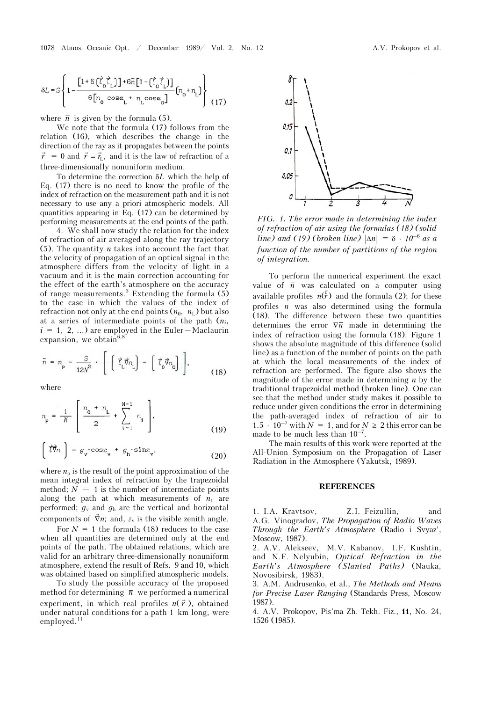$$
\delta L = S \left\{ 1 - \frac{\left[1 + S\left(\vec{\zeta}_0 \vec{\zeta}_L\right)\right] + 6 \bar{n} \left[1 - \left(\vec{\zeta}_0 \vec{\zeta}_L\right)\right]}{6 \left[n_0 \cos \alpha_L + n_L \cos \alpha_0\right]} \left(n_0 + n_L\right) \right\} \tag{17}
$$

where  $\bar{n}$  is given by the formula (5).

We note that the formula (17) follows from the relation (16), which describes the change in the direction of the ray as it propagates between the points  $\vec{r}$  = 0 and  $\vec{r}$  =  $\vec{r_1}$ , and it is the law of refraction of a three-dimensionally nonuniform medium.

To determine the correction *L* which the help of Eq. (17) there is no need to know the profile of the index of refraction on the measurement path and it is not necessary to use any a priori atmospheric models. All quantities appearing in Eq. (17) can be determined by performing measurements at the end points of the path.

4. We shall now study the relation for the index of refraction of air averaged along the ray trajectory (5). The quantity *n* takes into account the fact that the velocity of propagation of an optical signal in the atmosphere differs from the velocity of light in a vacuum and it is the main correction accounting for the effect of the earth's atmosphere on the accuracy of range measurements.<sup>3</sup> Extending the formula  $(5)$ to the case in which the values of the index of refraction not only at the end points  $(n_0, n_\text{L})$  but also at a series of intermediate points of the path (*ni*,  $i = 1, 2, ...$ ) are employed in the Euler-Maclaurin expansion, we obtain<sup>6,8</sup>

$$
\bar{n} = n_{\rm p} - \frac{S}{12N^2} \cdot \left[ \left[ \vec{\zeta}_{\rm L} \vec{\nabla} n_{\rm L} \right] - \left[ \vec{\zeta}_{\rm o} \vec{\nabla} n_{\rm o} \right] \right], \tag{18}
$$

where

$$
n_{\rm p} = \frac{1}{N} \left[ \frac{n_{\rm o} + n_{\rm L}}{2} + \sum_{i=1}^{N-1} n_{i} \right],
$$
 (19)

$$
\left(\overrightarrow{\zeta}\overrightarrow{\eta}_{n}\right) = g_{\mathbf{v}} \cdot \cos z_{\mathbf{v}} + g_{\mathbf{h}} \cdot \sin z_{\mathbf{v}}.
$$
 (20)

where  $n_p$  is the result of the point approximation of the mean integral index of refraction by the trapezoidal method;  $N - 1$  is the number of intermediate points along the path at which measurements of  $n_1$  are performed;  $g_v$  and  $g_h$  are the vertical and horizontal components of  $\nabla n$ ; and,  $z_v$  is the visible zenith angle.

For  $N = 1$  the formula (18) reduces to the case when all quantities are determined only at the end points of the path. The obtained relations, which are valid for an arbitrary three-dimensionally nonuniform atmosphere, extend the result of Refs. 9 and 10, which was obtained based on simplified atmospheric models.

To study the possible accuracy of the proposed method for determining  $\bar{n}$  we performed a numerical experiment, in which real profiles  $n(\vec{r})$ , obtained under natural conditions for a path 1 km long, were employed.<sup>11</sup>



*FIG. 1. The error made in determining the index of refraction of air using the formulas (18) (solid line)* and (19) (broken line)  $|\Delta n| = \delta \cdot 10^{-6}$  as a *function of the number of partitions of the region of integration.*

To perform the numerical experiment the exact value of  $\bar{n}$  was calculated on a computer using available profiles  $n(r)$  and the formula (2); for these profiles  $\bar{n}$  was also determined using the formula (18). The difference between these two quantities determines the error  $\nabla \overline{n}$  made in determining the index of refraction using the formula (18). Figure 1 shows the absolute magnitude of this difference (solid line) as a function of the number of points on the path at which the local measurements of the index of refraction are performed. The figure also shows the magnitude of the error made in determining *n* by the traditional trapezoidal method (broken line). One can see that the method under study makes it possible to reduce under given conditions the error in determining the path-averaged index of refraction of air to 1.5  $\cdot$  10<sup>-7</sup> with  $\bar{N} = 1$ , and for  $N \ge 2$  this error can be made to be much less than  $10^{-7}$ .

The main results of this work were reported at the All-Union Symposium on the Propagation of Laser Radiation in the Atmosphere (Yakutsk, 1989).

## **REFERENCES**

1. I.A. Kravtsov, Z.I. Feizullin, and A.G. Vinogradov, *The Propagation of Radio Waves Through the Earth's Atmosphere* (Radio i Svyaz', Moscow, 1987).

2. A.V. Alekseev, M.V. Kabanov, I.F. Kushtin, and N.F. Nelyubin, *Optical Refraction in the Earth's Atmosphere (Slanted Paths)* (Nauka, Novosibirsk, 1983).

3. A.M. Andrusenko, et al., *The Methods and Means for Precise Laser Ranging* (Standards Press, Moscow 1987).

4. A.V. Prokopov, Pis'ma Zh. Tekh. Fiz., **11**, No. 24, 1526 (1985).